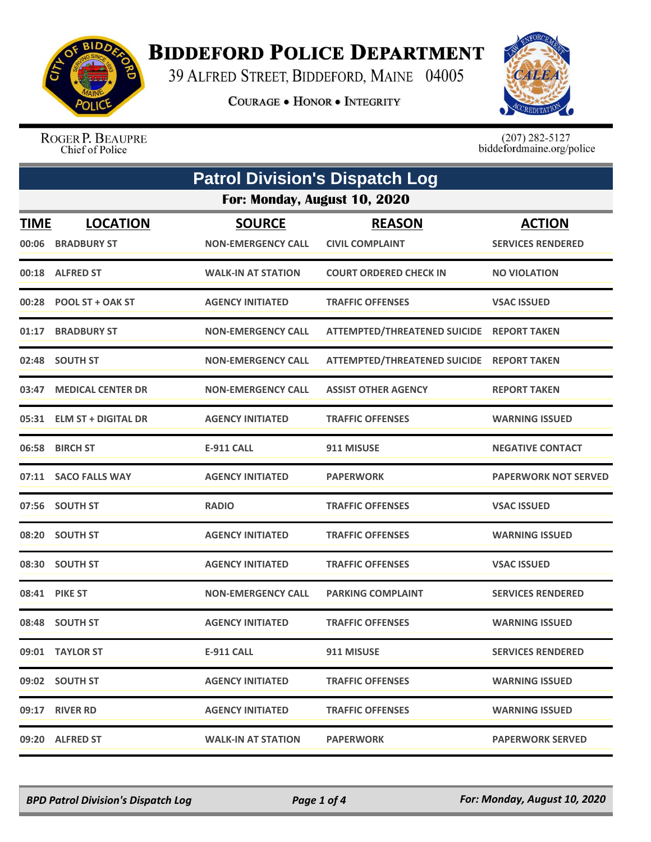

## **BIDDEFORD POLICE DEPARTMENT**

39 ALFRED STREET, BIDDEFORD, MAINE 04005

**COURAGE . HONOR . INTEGRITY** 



ROGER P. BEAUPRE Chief of Police

 $(207)$  282-5127<br>biddefordmaine.org/police

|                              | <b>Patrol Division's Dispatch Log</b> |                                            |                                           |                                           |  |
|------------------------------|---------------------------------------|--------------------------------------------|-------------------------------------------|-------------------------------------------|--|
| For: Monday, August 10, 2020 |                                       |                                            |                                           |                                           |  |
| <b>TIME</b>                  | <b>LOCATION</b><br>00:06 BRADBURY ST  | <b>SOURCE</b><br><b>NON-EMERGENCY CALL</b> | <b>REASON</b><br><b>CIVIL COMPLAINT</b>   | <b>ACTION</b><br><b>SERVICES RENDERED</b> |  |
|                              | 00:18 ALFRED ST                       | <b>WALK-IN AT STATION</b>                  | <b>COURT ORDERED CHECK IN</b>             | <b>NO VIOLATION</b>                       |  |
|                              | 00:28 POOL ST + OAK ST                | <b>AGENCY INITIATED</b>                    | <b>TRAFFIC OFFENSES</b>                   | <b>VSAC ISSUED</b>                        |  |
| 01:17                        | <b>BRADBURY ST</b>                    | <b>NON-EMERGENCY CALL</b>                  | ATTEMPTED/THREATENED SUICIDE REPORT TAKEN |                                           |  |
|                              | 02:48 SOUTH ST                        | <b>NON-EMERGENCY CALL</b>                  | ATTEMPTED/THREATENED SUICIDE REPORT TAKEN |                                           |  |
| 03:47                        | <b>MEDICAL CENTER DR</b>              | <b>NON-EMERGENCY CALL</b>                  | <b>ASSIST OTHER AGENCY</b>                | <b>REPORT TAKEN</b>                       |  |
|                              | 05:31 ELM ST + DIGITAL DR             | <b>AGENCY INITIATED</b>                    | <b>TRAFFIC OFFENSES</b>                   | <b>WARNING ISSUED</b>                     |  |
|                              | 06:58 BIRCH ST                        | <b>E-911 CALL</b>                          | 911 MISUSE                                | <b>NEGATIVE CONTACT</b>                   |  |
|                              | 07:11 SACO FALLS WAY                  | <b>AGENCY INITIATED</b>                    | <b>PAPERWORK</b>                          | <b>PAPERWORK NOT SERVED</b>               |  |
|                              | 07:56 SOUTH ST                        | <b>RADIO</b>                               | <b>TRAFFIC OFFENSES</b>                   | <b>VSAC ISSUED</b>                        |  |
|                              | 08:20 SOUTH ST                        | <b>AGENCY INITIATED</b>                    | <b>TRAFFIC OFFENSES</b>                   | <b>WARNING ISSUED</b>                     |  |
|                              | 08:30 SOUTH ST                        | <b>AGENCY INITIATED</b>                    | <b>TRAFFIC OFFENSES</b>                   | <b>VSAC ISSUED</b>                        |  |
|                              | 08:41 PIKE ST                         | <b>NON-EMERGENCY CALL</b>                  | <b>PARKING COMPLAINT</b>                  | <b>SERVICES RENDERED</b>                  |  |
|                              | 08:48 SOUTH ST                        | <b>AGENCY INITIATED</b>                    | <b>TRAFFIC OFFENSES</b>                   | <b>WARNING ISSUED</b>                     |  |
|                              | 09:01 TAYLOR ST                       | <b>E-911 CALL</b>                          | 911 MISUSE                                | <b>SERVICES RENDERED</b>                  |  |
|                              | 09:02 SOUTH ST                        | <b>AGENCY INITIATED</b>                    | <b>TRAFFIC OFFENSES</b>                   | <b>WARNING ISSUED</b>                     |  |
|                              | 09:17 RIVER RD                        | <b>AGENCY INITIATED</b>                    | <b>TRAFFIC OFFENSES</b>                   | <b>WARNING ISSUED</b>                     |  |
|                              | 09:20 ALFRED ST                       | <b>WALK-IN AT STATION</b>                  | <b>PAPERWORK</b>                          | <b>PAPERWORK SERVED</b>                   |  |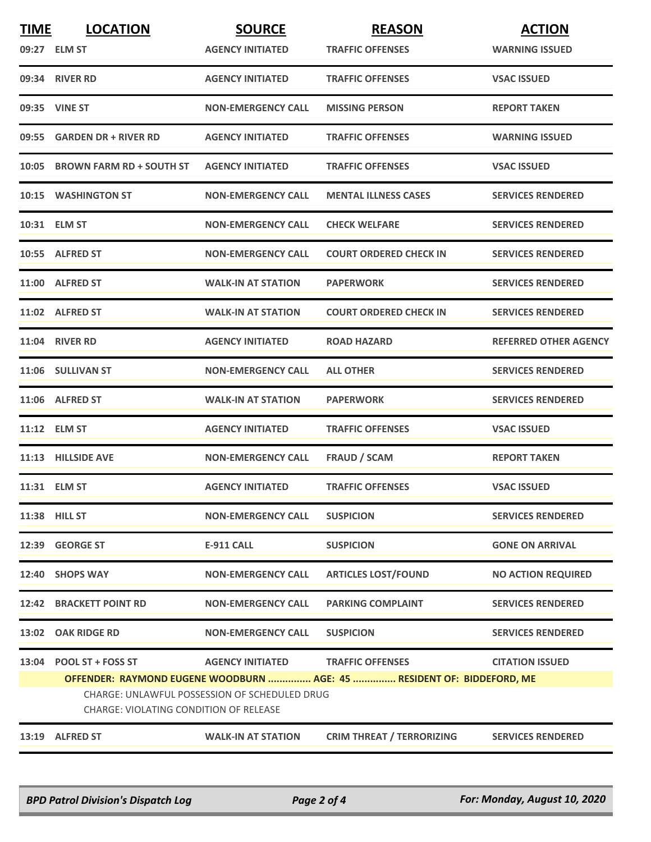| <b>TIME</b> | <b>LOCATION</b>                                                                                | <b>SOURCE</b>             | <b>REASON</b>                                                          | <b>ACTION</b>                |  |
|-------------|------------------------------------------------------------------------------------------------|---------------------------|------------------------------------------------------------------------|------------------------------|--|
|             | 09:27 ELM ST                                                                                   | <b>AGENCY INITIATED</b>   | <b>TRAFFIC OFFENSES</b>                                                | <b>WARNING ISSUED</b>        |  |
|             | 09:34 RIVER RD                                                                                 | <b>AGENCY INITIATED</b>   | <b>TRAFFIC OFFENSES</b>                                                | <b>VSAC ISSUED</b>           |  |
|             | 09:35 VINE ST                                                                                  | <b>NON-EMERGENCY CALL</b> | <b>MISSING PERSON</b>                                                  | <b>REPORT TAKEN</b>          |  |
|             | 09:55 GARDEN DR + RIVER RD                                                                     | <b>AGENCY INITIATED</b>   | <b>TRAFFIC OFFENSES</b>                                                | <b>WARNING ISSUED</b>        |  |
|             | 10:05 BROWN FARM RD + SOUTH ST                                                                 | <b>AGENCY INITIATED</b>   | <b>TRAFFIC OFFENSES</b>                                                | <b>VSAC ISSUED</b>           |  |
|             | 10:15 WASHINGTON ST                                                                            | <b>NON-EMERGENCY CALL</b> | <b>MENTAL ILLNESS CASES</b>                                            | <b>SERVICES RENDERED</b>     |  |
|             | 10:31 ELM ST                                                                                   | <b>NON-EMERGENCY CALL</b> | <b>CHECK WELFARE</b>                                                   | <b>SERVICES RENDERED</b>     |  |
|             | 10:55 ALFRED ST                                                                                | <b>NON-EMERGENCY CALL</b> | <b>COURT ORDERED CHECK IN</b>                                          | <b>SERVICES RENDERED</b>     |  |
|             | 11:00 ALFRED ST                                                                                | <b>WALK-IN AT STATION</b> | <b>PAPERWORK</b>                                                       | <b>SERVICES RENDERED</b>     |  |
|             | 11:02 ALFRED ST                                                                                | <b>WALK-IN AT STATION</b> | <b>COURT ORDERED CHECK IN</b>                                          | <b>SERVICES RENDERED</b>     |  |
|             | <b>11:04 RIVER RD</b>                                                                          | <b>AGENCY INITIATED</b>   | <b>ROAD HAZARD</b>                                                     | <b>REFERRED OTHER AGENCY</b> |  |
|             | 11:06 SULLIVAN ST                                                                              | <b>NON-EMERGENCY CALL</b> | <b>ALL OTHER</b>                                                       | <b>SERVICES RENDERED</b>     |  |
|             | 11:06 ALFRED ST                                                                                | <b>WALK-IN AT STATION</b> | <b>PAPERWORK</b>                                                       | <b>SERVICES RENDERED</b>     |  |
|             | 11:12 ELM ST                                                                                   | <b>AGENCY INITIATED</b>   | <b>TRAFFIC OFFENSES</b>                                                | <b>VSAC ISSUED</b>           |  |
|             | 11:13 HILLSIDE AVE                                                                             | <b>NON-EMERGENCY CALL</b> | <b>FRAUD / SCAM</b>                                                    | <b>REPORT TAKEN</b>          |  |
|             | 11:31 ELM ST                                                                                   | <b>AGENCY INITIATED</b>   | <b>TRAFFIC OFFENSES</b>                                                | <b>VSAC ISSUED</b>           |  |
|             | 11:38 HILL ST                                                                                  | <b>NON-EMERGENCY CALL</b> | <b>SUSPICION</b>                                                       | <b>SERVICES RENDERED</b>     |  |
|             | 12:39 GEORGE ST                                                                                | <b>E-911 CALL</b>         | <b>SUSPICION</b>                                                       | <b>GONE ON ARRIVAL</b>       |  |
|             | 12:40 SHOPS WAY                                                                                | <b>NON-EMERGENCY CALL</b> | <b>ARTICLES LOST/FOUND</b>                                             | <b>NO ACTION REQUIRED</b>    |  |
|             | 12:42 BRACKETT POINT RD                                                                        | <b>NON-EMERGENCY CALL</b> | <b>PARKING COMPLAINT</b>                                               | <b>SERVICES RENDERED</b>     |  |
|             | 13:02 OAK RIDGE RD                                                                             | <b>NON-EMERGENCY CALL</b> | <b>SUSPICION</b>                                                       | <b>SERVICES RENDERED</b>     |  |
|             | 13:04 POOL ST + FOSS ST                                                                        | <b>AGENCY INITIATED</b>   | <b>TRAFFIC OFFENSES</b>                                                | <b>CITATION ISSUED</b>       |  |
|             |                                                                                                |                           | OFFENDER: RAYMOND EUGENE WOODBURN  AGE: 45  RESIDENT OF: BIDDEFORD, ME |                              |  |
|             | <b>CHARGE: UNLAWFUL POSSESSION OF SCHEDULED DRUG</b><br>CHARGE: VIOLATING CONDITION OF RELEASE |                           |                                                                        |                              |  |
|             | 13:19 ALFRED ST                                                                                | <b>WALK-IN AT STATION</b> | <b>CRIM THREAT / TERRORIZING</b>                                       | <b>SERVICES RENDERED</b>     |  |

*BPD Patrol Division's Dispatch Log Page 2 of 4 For: Monday, August 10, 2020*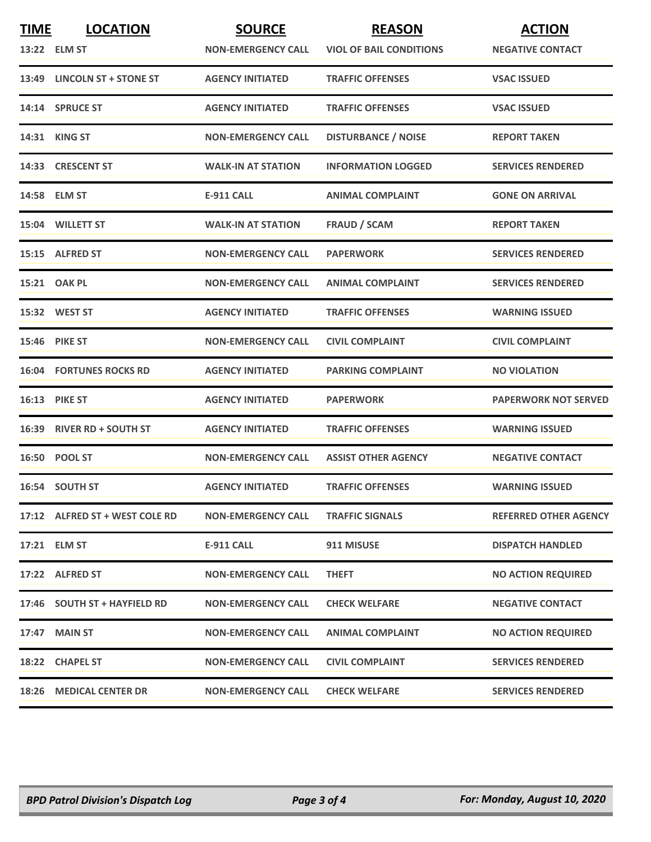| <b>TIME</b> | <b>LOCATION</b><br>13:22 ELM ST | <b>SOURCE</b><br><b>NON-EMERGENCY CALL</b> | <b>REASON</b><br><b>VIOL OF BAIL CONDITIONS</b> | <b>ACTION</b><br><b>NEGATIVE CONTACT</b> |
|-------------|---------------------------------|--------------------------------------------|-------------------------------------------------|------------------------------------------|
|             | 13:49 LINCOLN ST + STONE ST     | <b>AGENCY INITIATED</b>                    | <b>TRAFFIC OFFENSES</b>                         | <b>VSAC ISSUED</b>                       |
|             | 14:14 SPRUCE ST                 | <b>AGENCY INITIATED</b>                    | <b>TRAFFIC OFFENSES</b>                         | <b>VSAC ISSUED</b>                       |
|             | 14:31 KING ST                   | <b>NON-EMERGENCY CALL</b>                  | <b>DISTURBANCE / NOISE</b>                      | <b>REPORT TAKEN</b>                      |
|             | 14:33 CRESCENT ST               | <b>WALK-IN AT STATION</b>                  | <b>INFORMATION LOGGED</b>                       | <b>SERVICES RENDERED</b>                 |
|             | 14:58 ELM ST                    | <b>E-911 CALL</b>                          | <b>ANIMAL COMPLAINT</b>                         | <b>GONE ON ARRIVAL</b>                   |
|             | 15:04 WILLETT ST                | <b>WALK-IN AT STATION</b>                  | <b>FRAUD / SCAM</b>                             | <b>REPORT TAKEN</b>                      |
|             | 15:15 ALFRED ST                 | <b>NON-EMERGENCY CALL</b>                  | <b>PAPERWORK</b>                                | <b>SERVICES RENDERED</b>                 |
|             | 15:21 OAK PL                    | <b>NON-EMERGENCY CALL</b>                  | <b>ANIMAL COMPLAINT</b>                         | <b>SERVICES RENDERED</b>                 |
|             | 15:32 WEST ST                   | <b>AGENCY INITIATED</b>                    | <b>TRAFFIC OFFENSES</b>                         | <b>WARNING ISSUED</b>                    |
|             | <b>15:46 PIKE ST</b>            | <b>NON-EMERGENCY CALL</b>                  | <b>CIVIL COMPLAINT</b>                          | <b>CIVIL COMPLAINT</b>                   |
|             | <b>16:04 FORTUNES ROCKS RD</b>  | <b>AGENCY INITIATED</b>                    | <b>PARKING COMPLAINT</b>                        | <b>NO VIOLATION</b>                      |
|             | 16:13 PIKE ST                   | <b>AGENCY INITIATED</b>                    | <b>PAPERWORK</b>                                | <b>PAPERWORK NOT SERVED</b>              |
|             | 16:39 RIVER RD + SOUTH ST       | <b>AGENCY INITIATED</b>                    | <b>TRAFFIC OFFENSES</b>                         | <b>WARNING ISSUED</b>                    |
|             | <b>16:50 POOL ST</b>            | <b>NON-EMERGENCY CALL</b>                  | <b>ASSIST OTHER AGENCY</b>                      | <b>NEGATIVE CONTACT</b>                  |
|             | 16:54 SOUTH ST                  | <b>AGENCY INITIATED</b>                    | <b>TRAFFIC OFFENSES</b>                         | <b>WARNING ISSUED</b>                    |
|             | 17:12 ALFRED ST + WEST COLE RD  | <b>NON-EMERGENCY CALL</b>                  | <b>TRAFFIC SIGNALS</b>                          | <b>REFERRED OTHER AGENCY</b>             |
|             | 17:21 ELM ST                    | <b>E-911 CALL</b>                          | 911 MISUSE                                      | <b>DISPATCH HANDLED</b>                  |
|             | 17:22 ALFRED ST                 | <b>NON-EMERGENCY CALL</b>                  | <b>THEFT</b>                                    | <b>NO ACTION REQUIRED</b>                |
|             | 17:46 SOUTH ST + HAYFIELD RD    | <b>NON-EMERGENCY CALL</b>                  | <b>CHECK WELFARE</b>                            | <b>NEGATIVE CONTACT</b>                  |
|             | 17:47 MAIN ST                   | <b>NON-EMERGENCY CALL</b>                  | <b>ANIMAL COMPLAINT</b>                         | <b>NO ACTION REQUIRED</b>                |
|             | 18:22 CHAPEL ST                 | <b>NON-EMERGENCY CALL</b>                  | <b>CIVIL COMPLAINT</b>                          | <b>SERVICES RENDERED</b>                 |
|             | 18:26 MEDICAL CENTER DR         | <b>NON-EMERGENCY CALL</b>                  | <b>CHECK WELFARE</b>                            | <b>SERVICES RENDERED</b>                 |